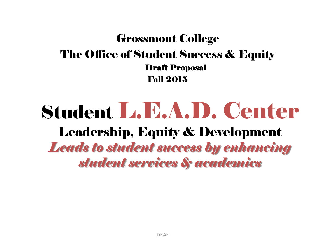#### Grossmont College The Office of Student Success & Equity Draft Proposal Fall 2015

## Student L.E.A.D. Center Leadership, Equity & Development *Leads to student success by enhancing student services & academics*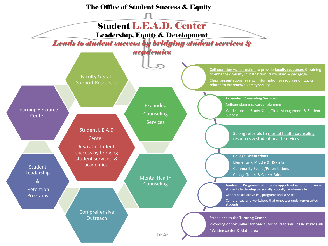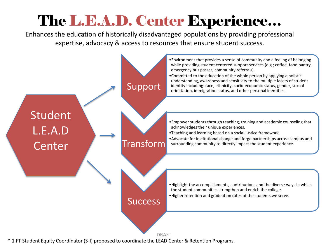## The L.E.A.D. Center Experience...

Enhances the education of historically disadvantaged populations by providing professional expertise, advocacy & access to resources that ensure student success.



\* 1 FT Student Equity Coordinator (S-I) proposed to coordinate the LEAD Center & Retention Programs.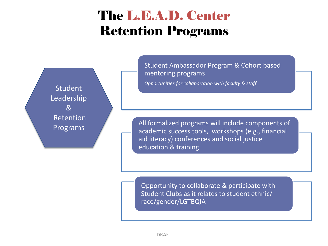### The L.E.A.D. Center Retention Programs

Student Leadership & Retention Programs

Student Ambassador Program & Cohort based mentoring programs

*Opportunities for collaboration with faculty & staff* 

All formalized programs will include components of academic success tools, workshops (e.g., financial aid literacy) conferences and social justice education & training

Opportunity to collaborate & participate with Student Clubs as it relates to student ethnic/ race/gender/LGTBQIA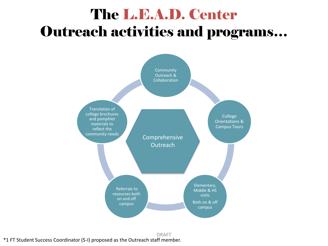## The L.E.A.D. Center Outreach activities and programs…



\*1 FT Student Success Coordinator (S-I) proposed as the Outreach staff member. DRAFT